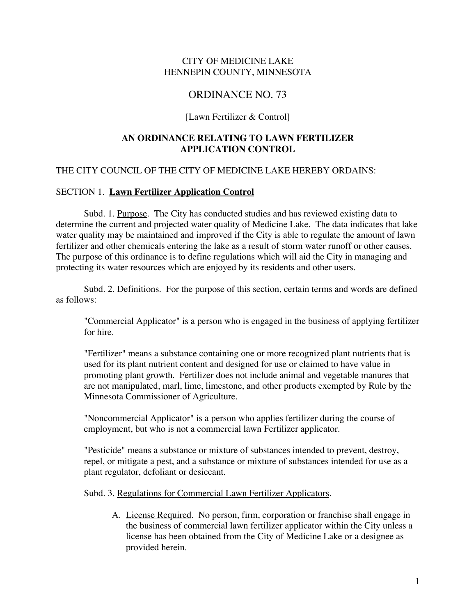## CITY OF MEDICINE LAKE HENNEPIN COUNTY, MINNESOTA

# ORDINANCE NO. 73

#### [Lawn Fertilizer & Control]

# **AN ORDINANCE RELATING TO LAWN FERTILIZER APPLICATION CONTROL**

## THE CITY COUNCIL OF THE CITY OF MEDICINE LAKE HEREBY ORDAINS:

## SECTION 1. **Lawn Fertilizer Application Control**

Subd. 1. Purpose. The City has conducted studies and has reviewed existing data to determine the current and projected water quality of Medicine Lake. The data indicates that lake water quality may be maintained and improved if the City is able to regulate the amount of lawn fertilizer and other chemicals entering the lake as a result of storm water runoff or other causes. The purpose of this ordinance is to define regulations which will aid the City in managing and protecting its water resources which are enjoyed by its residents and other users.

Subd. 2. Definitions. For the purpose of this section, certain terms and words are defined as follows:

"Commercial Applicator" is a person who is engaged in the business of applying fertilizer for hire.

"Fertilizer" means a substance containing one or more recognized plant nutrients that is used for its plant nutrient content and designed for use or claimed to have value in promoting plant growth. Fertilizer does not include animal and vegetable manures that are not manipulated, marl, lime, limestone, and other products exempted by Rule by the Minnesota Commissioner of Agriculture.

"Noncommercial Applicator" is a person who applies fertilizer during the course of employment, but who is not a commercial lawn Fertilizer applicator.

"Pesticide" means a substance or mixture of substances intended to prevent, destroy, repel, or mitigate a pest, and a substance or mixture of substances intended for use as a plant regulator, defoliant or desiccant.

#### Subd. 3. Regulations for Commercial Lawn Fertilizer Applicators.

A. License Required. No person, firm, corporation or franchise shall engage in the business of commercial lawn fertilizer applicator within the City unless a license has been obtained from the City of Medicine Lake or a designee as provided herein.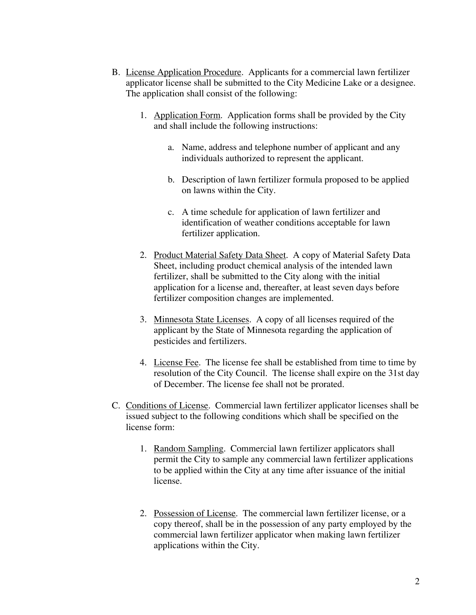- B. License Application Procedure. Applicants for a commercial lawn fertilizer applicator license shall be submitted to the City Medicine Lake or a designee. The application shall consist of the following:
	- 1. Application Form. Application forms shall be provided by the City and shall include the following instructions:
		- a. Name, address and telephone number of applicant and any individuals authorized to represent the applicant.
		- b. Description of lawn fertilizer formula proposed to be applied on lawns within the City.
		- c. A time schedule for application of lawn fertilizer and identification of weather conditions acceptable for lawn fertilizer application.
	- 2. Product Material Safety Data Sheet. A copy of Material Safety Data Sheet, including product chemical analysis of the intended lawn fertilizer, shall be submitted to the City along with the initial application for a license and, thereafter, at least seven days before fertilizer composition changes are implemented.
	- 3. Minnesota State Licenses. A copy of all licenses required of the applicant by the State of Minnesota regarding the application of pesticides and fertilizers.
	- 4. License Fee. The license fee shall be established from time to time by resolution of the City Council. The license shall expire on the 31st day of December. The license fee shall not be prorated.
- C. Conditions of License. Commercial lawn fertilizer applicator licenses shall be issued subject to the following conditions which shall be specified on the license form:
	- 1. Random Sampling. Commercial lawn fertilizer applicators shall permit the City to sample any commercial lawn fertilizer applications to be applied within the City at any time after issuance of the initial license.
	- 2. Possession of License. The commercial lawn fertilizer license, or a copy thereof, shall be in the possession of any party employed by the commercial lawn fertilizer applicator when making lawn fertilizer applications within the City.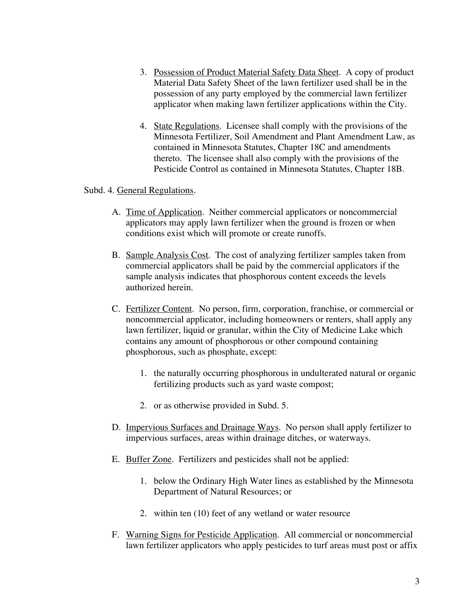- 3. Possession of Product Material Safety Data Sheet. A copy of product Material Data Safety Sheet of the lawn fertilizer used shall be in the possession of any party employed by the commercial lawn fertilizer applicator when making lawn fertilizer applications within the City.
- 4. State Regulations. Licensee shall comply with the provisions of the Minnesota Fertilizer, Soil Amendment and Plant Amendment Law, as contained in Minnesota Statutes, Chapter 18C and amendments thereto. The licensee shall also comply with the provisions of the Pesticide Control as contained in Minnesota Statutes, Chapter 18B.

#### Subd. 4. General Regulations.

- A. Time of Application. Neither commercial applicators or noncommercial applicators may apply lawn fertilizer when the ground is frozen or when conditions exist which will promote or create runoffs.
- B. Sample Analysis Cost. The cost of analyzing fertilizer samples taken from commercial applicators shall be paid by the commercial applicators if the sample analysis indicates that phosphorous content exceeds the levels authorized herein.
- C. Fertilizer Content. No person, firm, corporation, franchise, or commercial or noncommercial applicator, including homeowners or renters, shall apply any lawn fertilizer, liquid or granular, within the City of Medicine Lake which contains any amount of phosphorous or other compound containing phosphorous, such as phosphate, except:
	- 1. the naturally occurring phosphorous in undulterated natural or organic fertilizing products such as yard waste compost;
	- 2. or as otherwise provided in Subd. 5.
- D. Impervious Surfaces and Drainage Ways. No person shall apply fertilizer to impervious surfaces, areas within drainage ditches, or waterways.
- E. Buffer Zone. Fertilizers and pesticides shall not be applied:
	- 1. below the Ordinary High Water lines as established by the Minnesota Department of Natural Resources; or
	- 2. within ten (10) feet of any wetland or water resource
- F. Warning Signs for Pesticide Application. All commercial or noncommercial lawn fertilizer applicators who apply pesticides to turf areas must post or affix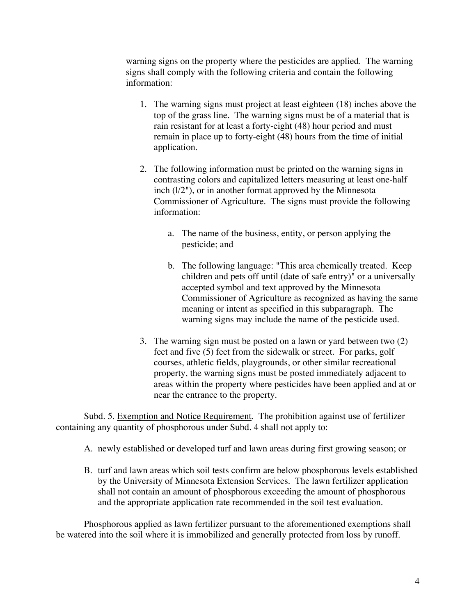warning signs on the property where the pesticides are applied. The warning signs shall comply with the following criteria and contain the following information:

- 1. The warning signs must project at least eighteen (18) inches above the top of the grass line. The warning signs must be of a material that is rain resistant for at least a forty-eight (48) hour period and must remain in place up to forty-eight (48) hours from the time of initial application.
- 2. The following information must be printed on the warning signs in contrasting colors and capitalized letters measuring at least one-half inch (l/2"), or in another format approved by the Minnesota Commissioner of Agriculture. The signs must provide the following information:
	- a. The name of the business, entity, or person applying the pesticide; and
	- b. The following language: "This area chemically treated. Keep children and pets off until (date of safe entry)" or a universally accepted symbol and text approved by the Minnesota Commissioner of Agriculture as recognized as having the same meaning or intent as specified in this subparagraph. The warning signs may include the name of the pesticide used.
- 3. The warning sign must be posted on a lawn or yard between two (2) feet and five (5) feet from the sidewalk or street. For parks, golf courses, athletic fields, playgrounds, or other similar recreational property, the warning signs must be posted immediately adjacent to areas within the property where pesticides have been applied and at or near the entrance to the property.

Subd. 5. Exemption and Notice Requirement. The prohibition against use of fertilizer containing any quantity of phosphorous under Subd. 4 shall not apply to:

- A. newly established or developed turf and lawn areas during first growing season; or
- B. turf and lawn areas which soil tests confirm are below phosphorous levels established by the University of Minnesota Extension Services. The lawn fertilizer application shall not contain an amount of phosphorous exceeding the amount of phosphorous and the appropriate application rate recommended in the soil test evaluation.

Phosphorous applied as lawn fertilizer pursuant to the aforementioned exemptions shall be watered into the soil where it is immobilized and generally protected from loss by runoff.